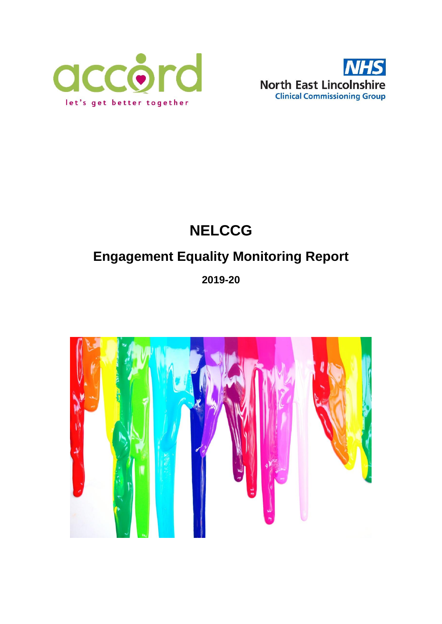



# **NELCCG**

# **Engagement Equality Monitoring Report**

## **2019-20**

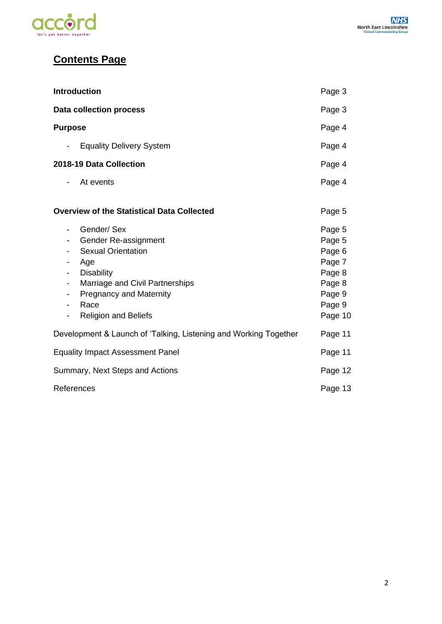

## **Contents Page**

| <b>Introduction</b>                                                                                                                                                                                                                                 | Page 3                                                                                  |
|-----------------------------------------------------------------------------------------------------------------------------------------------------------------------------------------------------------------------------------------------------|-----------------------------------------------------------------------------------------|
| <b>Data collection process</b>                                                                                                                                                                                                                      | Page 3                                                                                  |
| <b>Purpose</b>                                                                                                                                                                                                                                      | Page 4                                                                                  |
| <b>Equality Delivery System</b><br>$\overline{\phantom{a}}$                                                                                                                                                                                         | Page 4                                                                                  |
| 2018-19 Data Collection                                                                                                                                                                                                                             | Page 4                                                                                  |
| At events<br>-                                                                                                                                                                                                                                      | Page 4                                                                                  |
| <b>Overview of the Statistical Data Collected</b>                                                                                                                                                                                                   | Page 5                                                                                  |
| Gender/Sex<br>-<br>Gender Re-assignment<br>Ξ.<br><b>Sexual Orientation</b><br>Age<br><b>Disability</b><br>$\overline{\phantom{0}}$<br>Marriage and Civil Partnerships<br>-<br><b>Pregnancy and Maternity</b><br>Race<br><b>Religion and Beliefs</b> | Page 5<br>Page 5<br>Page 6<br>Page 7<br>Page 8<br>Page 8<br>Page 9<br>Page 9<br>Page 10 |
| Development & Launch of 'Talking, Listening and Working Together                                                                                                                                                                                    | Page 11                                                                                 |
| <b>Equality Impact Assessment Panel</b>                                                                                                                                                                                                             | Page 11                                                                                 |
| Summary, Next Steps and Actions                                                                                                                                                                                                                     | Page 12                                                                                 |
| References                                                                                                                                                                                                                                          | Page 13                                                                                 |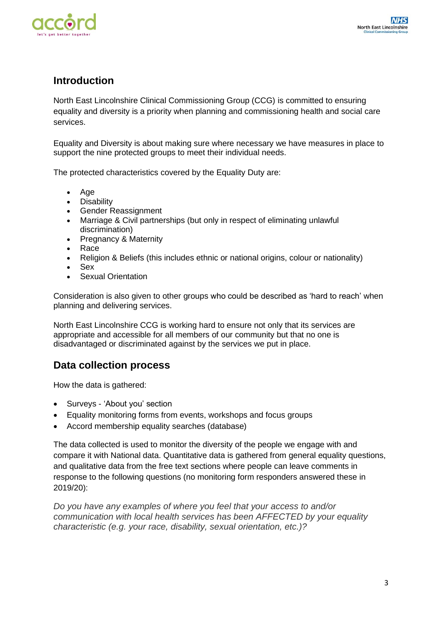

## **Introduction**

North East Lincolnshire Clinical Commissioning Group (CCG) is committed to ensuring equality and diversity is a priority when planning and commissioning health and social care services.

Equality and Diversity is about making sure where necessary we have measures in place to support the nine protected groups to meet their individual needs.

The protected characteristics covered by the Equality Duty are:

- Age
- Disability
- Gender Reassignment
- Marriage & Civil partnerships (but only in respect of eliminating unlawful discrimination)
- Pregnancy & Maternity
- Race
- Religion & Beliefs (this includes ethnic or national origins, colour or nationality)
- Sex
- Sexual Orientation

Consideration is also given to other groups who could be described as 'hard to reach' when planning and delivering services.

North East Lincolnshire CCG is working hard to ensure not only that its services are appropriate and accessible for all members of our community but that no one is disadvantaged or discriminated against by the services we put in place.

### **Data collection process**

How the data is gathered:

- Surveys 'About you' section
- Equality monitoring forms from events, workshops and focus groups
- Accord membership equality searches (database)

The data collected is used to monitor the diversity of the people we engage with and compare it with National data. Quantitative data is gathered from general equality questions, and qualitative data from the free text sections where people can leave comments in response to the following questions (no monitoring form responders answered these in 2019/20):

*Do you have any examples of where you feel that your access to and/or communication with local health services has been AFFECTED by your equality characteristic (e.g. your race, disability, sexual orientation, etc.)?*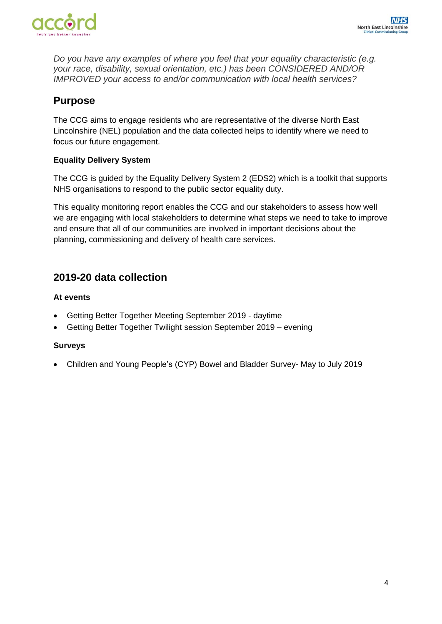

*Do you have any examples of where you feel that your equality characteristic (e.g. your race, disability, sexual orientation, etc.) has been CONSIDERED AND/OR IMPROVED your access to and/or communication with local health services?*

## **Purpose**

The CCG aims to engage residents who are representative of the diverse North East Lincolnshire (NEL) population and the data collected helps to identify where we need to focus our future engagement.

#### **Equality Delivery System**

The CCG is guided by the Equality Delivery System 2 (EDS2) which is a toolkit that supports NHS organisations to respond to the public sector equality duty.

This equality monitoring report enables the CCG and our stakeholders to assess how well we are engaging with local stakeholders to determine what steps we need to take to improve and ensure that all of our communities are involved in important decisions about the planning, commissioning and delivery of health care services.

## **2019-20 data collection**

#### **At events**

- Getting Better Together Meeting September 2019 daytime
- Getting Better Together Twilight session September 2019 evening

#### **Surveys**

• Children and Young People's (CYP) Bowel and Bladder Survey- May to July 2019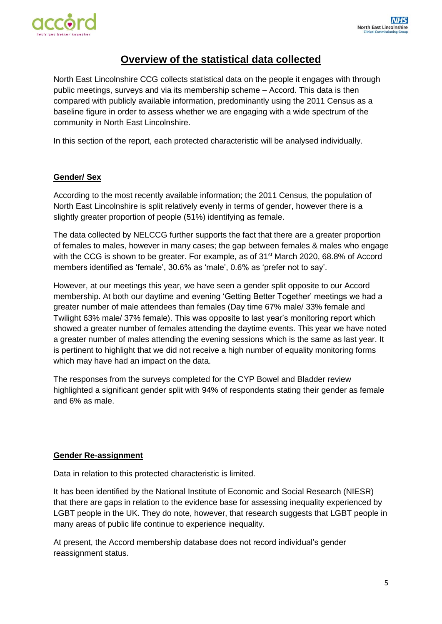

## **Overview of the statistical data collected**

North East Lincolnshire CCG collects statistical data on the people it engages with through public meetings, surveys and via its membership scheme – Accord. This data is then compared with publicly available information, predominantly using the 2011 Census as a baseline figure in order to assess whether we are engaging with a wide spectrum of the community in North East Lincolnshire.

In this section of the report, each protected characteristic will be analysed individually.

#### **Gender/ Sex**

According to the most recently available information; the 2011 Census, the population of North East Lincolnshire is split relatively evenly in terms of gender, however there is a slightly greater proportion of people (51%) identifying as female.

The data collected by NELCCG further supports the fact that there are a greater proportion of females to males, however in many cases; the gap between females & males who engage with the CCG is shown to be greater. For example, as of 31<sup>st</sup> March 2020, 68.8% of Accord members identified as 'female', 30.6% as 'male', 0.6% as 'prefer not to say'.

However, at our meetings this year, we have seen a gender split opposite to our Accord membership. At both our daytime and evening 'Getting Better Together' meetings we had a greater number of male attendees than females (Day time 67% male/ 33% female and Twilight 63% male/ 37% female). This was opposite to last year's monitoring report which showed a greater number of females attending the daytime events. This year we have noted a greater number of males attending the evening sessions which is the same as last year. It is pertinent to highlight that we did not receive a high number of equality monitoring forms which may have had an impact on the data.

The responses from the surveys completed for the CYP Bowel and Bladder review highlighted a significant gender split with 94% of respondents stating their gender as female and 6% as male.

#### **Gender Re-assignment**

Data in relation to this protected characteristic is limited.

It has been identified by the National Institute of Economic and Social Research (NIESR) that there are gaps in relation to the evidence base for assessing inequality experienced by LGBT people in the UK. They do note, however, that research suggests that LGBT people in many areas of public life continue to experience inequality.

At present, the Accord membership database does not record individual's gender reassignment status.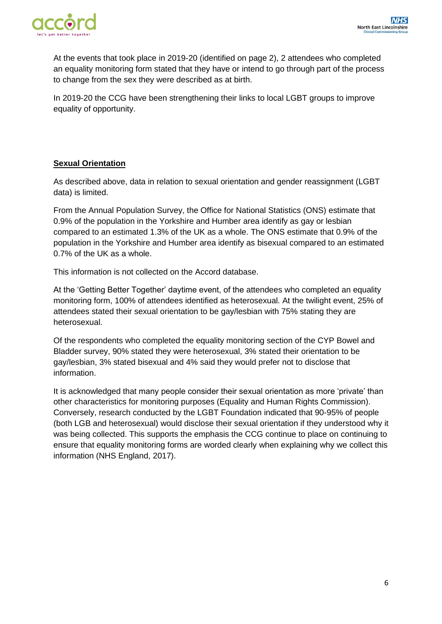

At the events that took place in 2019-20 (identified on page 2), 2 attendees who completed an equality monitoring form stated that they have or intend to go through part of the process to change from the sex they were described as at birth.

In 2019-20 the CCG have been strengthening their links to local LGBT groups to improve equality of opportunity.

#### **Sexual Orientation**

As described above, data in relation to sexual orientation and gender reassignment (LGBT data) is limited.

From the Annual Population Survey, the Office for National Statistics (ONS) estimate that 0.9% of the population in the Yorkshire and Humber area identify as gay or lesbian compared to an estimated 1.3% of the UK as a whole. The ONS estimate that 0.9% of the population in the Yorkshire and Humber area identify as bisexual compared to an estimated 0.7% of the UK as a whole.

This information is not collected on the Accord database.

At the 'Getting Better Together' daytime event, of the attendees who completed an equality monitoring form, 100% of attendees identified as heterosexual. At the twilight event, 25% of attendees stated their sexual orientation to be gay/lesbian with 75% stating they are heterosexual.

Of the respondents who completed the equality monitoring section of the CYP Bowel and Bladder survey, 90% stated they were heterosexual, 3% stated their orientation to be gay/lesbian, 3% stated bisexual and 4% said they would prefer not to disclose that information.

It is acknowledged that many people consider their sexual orientation as more 'private' than other characteristics for monitoring purposes (Equality and Human Rights Commission). Conversely, research conducted by the LGBT Foundation indicated that 90-95% of people (both LGB and heterosexual) would disclose their sexual orientation if they understood why it was being collected. This supports the emphasis the CCG continue to place on continuing to ensure that equality monitoring forms are worded clearly when explaining why we collect this information (NHS England, 2017).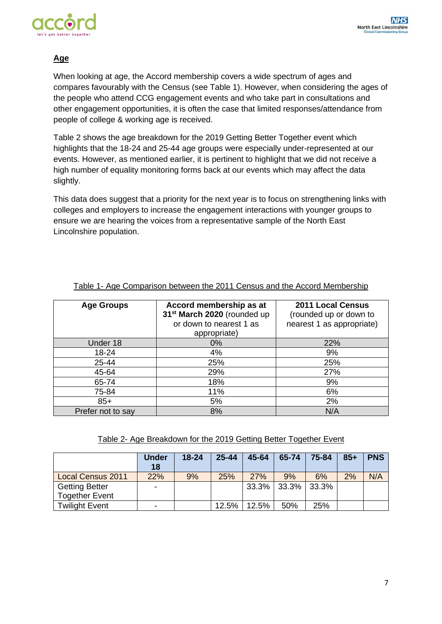

#### **Age**

When looking at age, the Accord membership covers a wide spectrum of ages and compares favourably with the Census (see Table 1). However, when considering the ages of the people who attend CCG engagement events and who take part in consultations and other engagement opportunities, it is often the case that limited responses/attendance from people of college & working age is received.

Table 2 shows the age breakdown for the 2019 Getting Better Together event which highlights that the 18-24 and 25-44 age groups were especially under-represented at our events. However, as mentioned earlier, it is pertinent to highlight that we did not receive a high number of equality monitoring forms back at our events which may affect the data slightly.

This data does suggest that a priority for the next year is to focus on strengthening links with colleges and employers to increase the engagement interactions with younger groups to ensure we are hearing the voices from a representative sample of the North East Lincolnshire population.

| <b>Age Groups</b> | Accord membership as at<br>31 <sup>st</sup> March 2020 (rounded up<br>or down to nearest 1 as<br>appropriate) | <b>2011 Local Census</b><br>(rounded up or down to<br>nearest 1 as appropriate) |
|-------------------|---------------------------------------------------------------------------------------------------------------|---------------------------------------------------------------------------------|
| Under 18          | $0\%$                                                                                                         | 22%                                                                             |
| 18-24             | 4%                                                                                                            | 9%                                                                              |
| 25-44             | 25%                                                                                                           | 25%                                                                             |
| 45-64             | 29%                                                                                                           | 27%                                                                             |
| 65-74             | 18%                                                                                                           | 9%                                                                              |
| 75-84             | 11%                                                                                                           | 6%                                                                              |
| $85+$             | 5%                                                                                                            | 2%                                                                              |
| Prefer not to say | 8%                                                                                                            | N/A                                                                             |

#### Table 1- Age Comparison between the 2011 Census and the Accord Membership

#### Table 2- Age Breakdown for the 2019 Getting Better Together Event

|                                                | <b>Under</b><br>18 | $18 - 24$ | $25 - 44$ | 45-64      | 65-74 | 75-84 | $85+$ | <b>PNS</b> |
|------------------------------------------------|--------------------|-----------|-----------|------------|-------|-------|-------|------------|
| <b>Local Census 2011</b>                       | 22%                | 9%        | 25%       | <b>27%</b> | 9%    | 6%    | 2%    | N/A        |
| <b>Getting Better</b><br><b>Together Event</b> |                    |           |           | 33.3%      | 33.3% | 33.3% |       |            |
| <b>Twilight Event</b>                          |                    |           | 12.5%     | 12.5%      | 50%   | 25%   |       |            |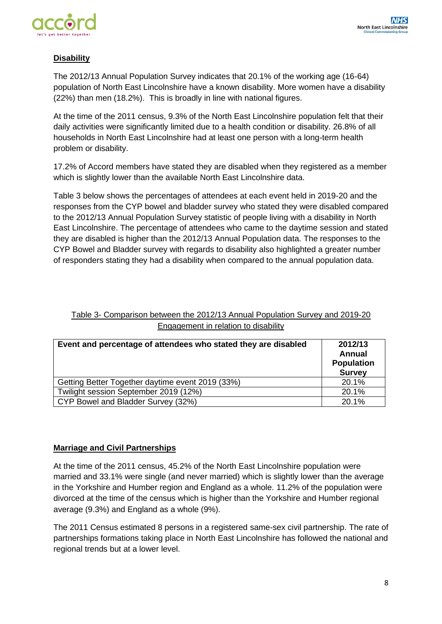

#### **Disability**

The 2012/13 Annual Population Survey indicates that 20.1% of the working age (16-64) population of North East Lincolnshire have a known disability. More women have a disability (22%) than men (18.2%). This is broadly in line with national figures.

At the time of the 2011 census, 9.3% of the North East Lincolnshire population felt that their daily activities were significantly limited due to a health condition or disability. 26.8% of all households in North East Lincolnshire had at least one person with a long-term health problem or disability.

17.2% of Accord members have stated they are disabled when they registered as a member which is slightly lower than the available North East Lincolnshire data.

Table 3 below shows the percentages of attendees at each event held in 2019-20 and the responses from the CYP bowel and bladder survey who stated they were disabled compared to the 2012/13 Annual Population Survey statistic of people living with a disability in North East Lincolnshire. The percentage of attendees who came to the daytime session and stated they are disabled is higher than the 2012/13 Annual Population data. The responses to the CYP Bowel and Bladder survey with regards to disability also highlighted a greater number of responders stating they had a disability when compared to the annual population data.

#### Table 3- Comparison between the 2012/13 Annual Population Survey and 2019-20 Engagement in relation to disability

| Event and percentage of attendees who stated they are disabled | 2012/13<br>Annual<br><b>Population</b><br><b>Survey</b> |
|----------------------------------------------------------------|---------------------------------------------------------|
| Getting Better Together daytime event 2019 (33%)               | 20.1%                                                   |
| Twilight session September 2019 (12%)                          | 20.1%                                                   |
| CYP Bowel and Bladder Survey (32%)                             | 20.1%                                                   |

#### **Marriage and Civil Partnerships**

At the time of the 2011 census, 45.2% of the North East Lincolnshire population were married and 33.1% were single (and never married) which is slightly lower than the average in the Yorkshire and Humber region and England as a whole. 11.2% of the population were divorced at the time of the census which is higher than the Yorkshire and Humber regional average (9.3%) and England as a whole (9%).

The 2011 Census estimated 8 persons in a registered same-sex civil partnership. The rate of partnerships formations taking place in North East Lincolnshire has followed the national and regional trends but at a lower level.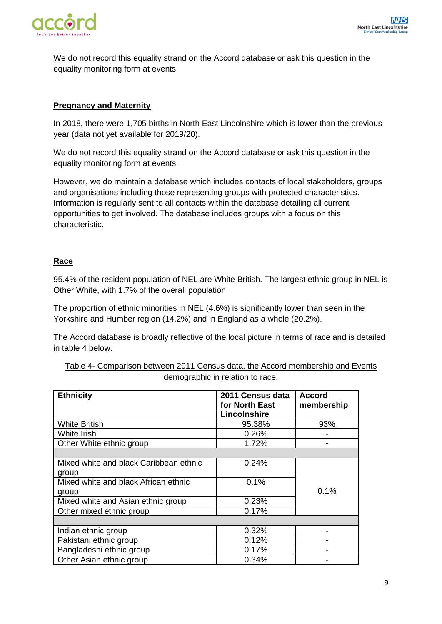

We do not record this equality strand on the Accord database or ask this question in the equality monitoring form at events.

#### **Pregnancy and Maternity**

In 2018, there were 1,705 births in North East Lincolnshire which is lower than the previous year (data not yet available for 2019/20).

We do not record this equality strand on the Accord database or ask this question in the equality monitoring form at events.

However, we do maintain a database which includes contacts of local stakeholders, groups and organisations including those representing groups with protected characteristics. Information is regularly sent to all contacts within the database detailing all current opportunities to get involved. The database includes groups with a focus on this characteristic.

#### **Race**

95.4% of the resident population of NEL are White British. The largest ethnic group in NEL is Other White, with 1.7% of the overall population.

The proportion of ethnic minorities in NEL (4.6%) is significantly lower than seen in the Yorkshire and Humber region (14.2%) and in England as a whole (20.2%).

The Accord database is broadly reflective of the local picture in terms of race and is detailed in table 4 below.

| Table 4- Comparison between 2011 Census data, the Accord membership and Events |                                  |  |  |  |
|--------------------------------------------------------------------------------|----------------------------------|--|--|--|
|                                                                                | demographic in relation to race. |  |  |  |

| <b>Ethnicity</b>                       | 2011 Census data | <b>Accord</b> |
|----------------------------------------|------------------|---------------|
|                                        | for North East   | membership    |
|                                        | Lincolnshire     |               |
| <b>White British</b>                   | 95.38%           | 93%           |
| White Irish                            | 0.26%            |               |
| Other White ethnic group               | 1.72%            |               |
|                                        |                  |               |
| Mixed white and black Caribbean ethnic | 0.24%            |               |
| group                                  |                  |               |
| Mixed white and black African ethnic   | 0.1%             |               |
| group                                  |                  | 0.1%          |
| Mixed white and Asian ethnic group     | 0.23%            |               |
| Other mixed ethnic group               | 0.17%            |               |
|                                        |                  |               |
| Indian ethnic group                    | 0.32%            |               |
| Pakistani ethnic group                 | 0.12%            |               |
| Bangladeshi ethnic group               | 0.17%            |               |
| Other Asian ethnic group               | 0.34%            |               |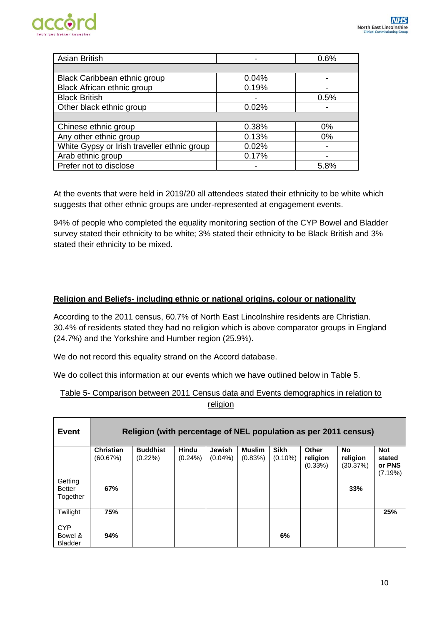

| <b>Asian British</b>                        |       | 0.6%  |
|---------------------------------------------|-------|-------|
|                                             |       |       |
| Black Caribbean ethnic group                | 0.04% |       |
| <b>Black African ethnic group</b>           | 0.19% |       |
| <b>Black British</b>                        |       | 0.5%  |
| Other black ethnic group                    | 0.02% |       |
|                                             |       |       |
| Chinese ethnic group                        | 0.38% | 0%    |
| Any other ethnic group                      | 0.13% | $0\%$ |
| White Gypsy or Irish traveller ethnic group | 0.02% |       |
| Arab ethnic group                           | 0.17% |       |
| Prefer not to disclose                      |       | 5.8%  |

At the events that were held in 2019/20 all attendees stated their ethnicity to be white which suggests that other ethnic groups are under-represented at engagement events.

94% of people who completed the equality monitoring section of the CYP Bowel and Bladder survey stated their ethnicity to be white; 3% stated their ethnicity to be Black British and 3% stated their ethnicity to be mixed.

#### **Religion and Beliefs- including ethnic or national origins, colour or nationality**

According to the 2011 census, 60.7% of North East Lincolnshire residents are Christian. 30.4% of residents stated they had no religion which is above comparator groups in England (24.7%) and the Yorkshire and Humber region (25.9%).

We do not record this equality strand on the Accord database.

We do collect this information at our events which we have outlined below in Table 5.

#### Table 5- Comparison between 2011 Census data and Events demographics in relation to religion

| Event                                   | Religion (with percentage of NEL population as per 2011 census) |                               |                            |                             |                          |                           |                                 |                            |                                           |
|-----------------------------------------|-----------------------------------------------------------------|-------------------------------|----------------------------|-----------------------------|--------------------------|---------------------------|---------------------------------|----------------------------|-------------------------------------------|
|                                         | <b>Christian</b><br>(60.67%)                                    | <b>Buddhist</b><br>$(0.22\%)$ | <b>Hindu</b><br>$(0.24\%)$ | <b>Jewish</b><br>$(0.04\%)$ | <b>Muslim</b><br>(0.83%) | <b>Sikh</b><br>$(0.10\%)$ | Other<br>religion<br>$(0.33\%)$ | No<br>religion<br>(30.37%) | <b>Not</b><br>stated<br>or PNS<br>(7.19%) |
| Getting<br><b>Better</b><br>Together    | 67%                                                             |                               |                            |                             |                          |                           |                                 | 33%                        |                                           |
| Twilight                                | 75%                                                             |                               |                            |                             |                          |                           |                                 |                            | 25%                                       |
| <b>CYP</b><br>Bowel &<br><b>Bladder</b> | 94%                                                             |                               |                            |                             |                          | 6%                        |                                 |                            |                                           |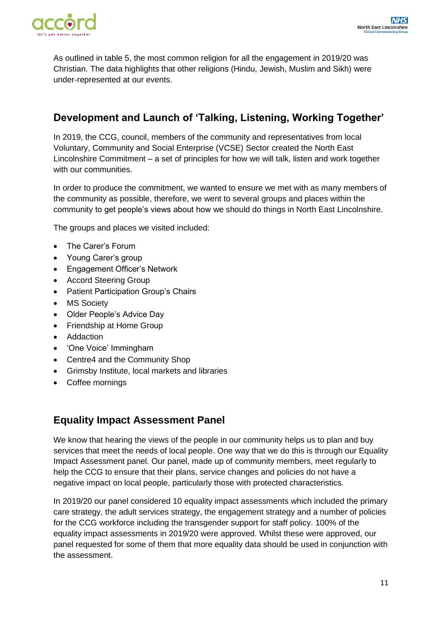

As outlined in table 5, the most common religion for all the engagement in 2019/20 was Christian. The data highlights that other religions (Hindu, Jewish, Muslim and Sikh) were under-represented at our events.

## **Development and Launch of 'Talking, Listening, Working Together'**

In 2019, the CCG, council, members of the community and representatives from local Voluntary, Community and Social Enterprise (VCSE) Sector created the North East Lincolnshire Commitment – a set of principles for how we will talk, listen and work together with our communities.

In order to produce the commitment, we wanted to ensure we met with as many members of the community as possible, therefore, we went to several groups and places within the community to get people's views about how we should do things in North East Lincolnshire.

The groups and places we visited included:

- The Carer's Forum
- Young Carer's group
- Engagement Officer's Network
- Accord Steering Group
- Patient Participation Group's Chairs
- MS Society
- Older People's Advice Day
- Friendship at Home Group
- Addaction
- 'One Voice' Immingham
- Centre4 and the Community Shop
- Grimsby Institute, local markets and libraries
- Coffee mornings

## **Equality Impact Assessment Panel**

We know that hearing the views of the people in our community helps us to plan and buy services that meet the needs of local people. One way that we do this is through our Equality Impact Assessment panel. Our panel, made up of community members, meet regularly to help the CCG to ensure that their plans, service changes and policies do not have a negative impact on local people, particularly those with protected characteristics.

In 2019/20 our panel considered 10 equality impact assessments which included the primary care strategy, the adult services strategy, the engagement strategy and a number of policies for the CCG workforce including the transgender support for staff policy. 100% of the equality impact assessments in 2019/20 were approved. Whilst these were approved, our panel requested for some of them that more equality data should be used in conjunction with the assessment.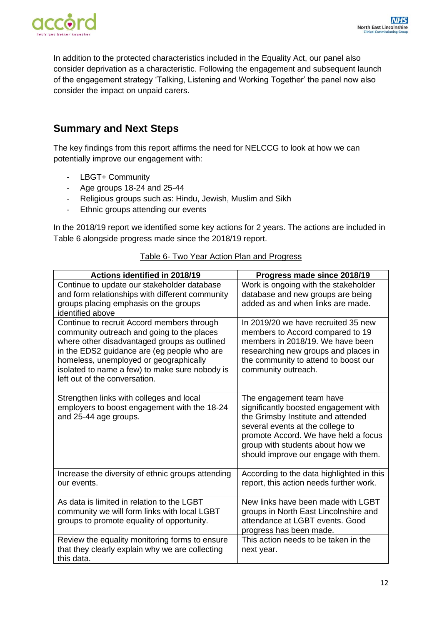

In addition to the protected characteristics included in the Equality Act, our panel also consider deprivation as a characteristic. Following the engagement and subsequent launch of the engagement strategy 'Talking, Listening and Working Together' the panel now also consider the impact on unpaid carers.

## **Summary and Next Steps**

The key findings from this report affirms the need for NELCCG to look at how we can potentially improve our engagement with:

- LBGT+ Community
- Age groups 18-24 and 25-44
- Religious groups such as: Hindu, Jewish, Muslim and Sikh
- Ethnic groups attending our events

In the 2018/19 report we identified some key actions for 2 years. The actions are included in Table 6 alongside progress made since the 2018/19 report.

| Actions identified in 2018/19                                                              | Progress made since 2018/19                                              |
|--------------------------------------------------------------------------------------------|--------------------------------------------------------------------------|
| Continue to update our stakeholder database                                                | Work is ongoing with the stakeholder                                     |
| and form relationships with different community                                            | database and new groups are being                                        |
| groups placing emphasis on the groups                                                      | added as and when links are made.                                        |
| identified above                                                                           |                                                                          |
| Continue to recruit Accord members through                                                 | In 2019/20 we have recruited 35 new                                      |
| community outreach and going to the places<br>where other disadvantaged groups as outlined | members to Accord compared to 19<br>members in 2018/19. We have been     |
| in the EDS2 guidance are (eg people who are                                                | researching new groups and places in                                     |
| homeless, unemployed or geographically                                                     | the community to attend to boost our                                     |
| isolated to name a few) to make sure nobody is                                             | community outreach.                                                      |
| left out of the conversation.                                                              |                                                                          |
|                                                                                            |                                                                          |
| Strengthen links with colleges and local                                                   | The engagement team have                                                 |
| employers to boost engagement with the 18-24                                               | significantly boosted engagement with                                    |
| and 25-44 age groups.                                                                      | the Grimsby Institute and attended                                       |
|                                                                                            | several events at the college to<br>promote Accord. We have held a focus |
|                                                                                            | group with students about how we                                         |
|                                                                                            | should improve our engage with them.                                     |
|                                                                                            |                                                                          |
| Increase the diversity of ethnic groups attending                                          | According to the data highlighted in this                                |
| our events.                                                                                | report, this action needs further work.                                  |
|                                                                                            |                                                                          |
| As data is limited in relation to the LGBT                                                 | New links have been made with LGBT                                       |
| community we will form links with local LGBT                                               | groups in North East Lincolnshire and                                    |
| groups to promote equality of opportunity.                                                 | attendance at LGBT events. Good                                          |
| Review the equality monitoring forms to ensure                                             | progress has been made.<br>This action needs to be taken in the          |
| that they clearly explain why we are collecting                                            | next year.                                                               |
| this data.                                                                                 |                                                                          |

#### Table 6- Two Year Action Plan and Progress